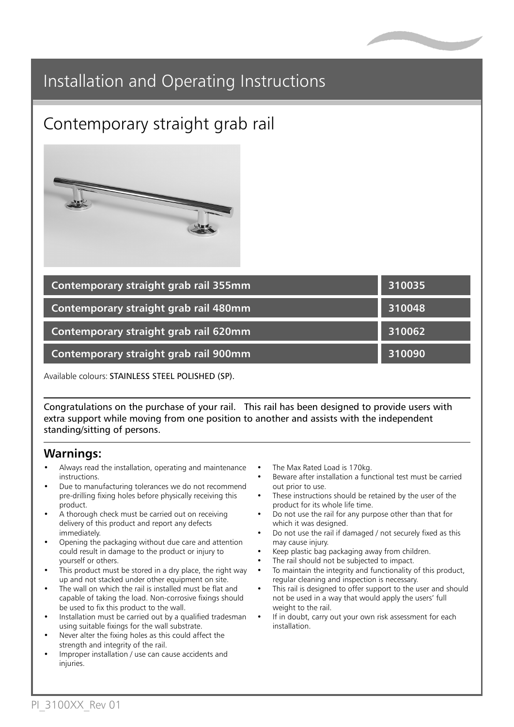

## Installation and Operating Instructions

# Contemporary straight grab rail



| Contemporary straight grab rail 355mm | 310035 |
|---------------------------------------|--------|
| Contemporary straight grab rail 480mm | 310048 |
| Contemporary straight grab rail 620mm | 310062 |
| Contemporary straight grab rail 900mm | 310090 |

Available colours: STAINLESS STEEL POLISHED (SP).

Congratulations on the purchase of your rail. This rail has been designed to provide users with extra support while moving from one position to another and assists with the independent standing/sitting of persons.

#### **Warnings:**

- Always read the installation, operating and maintenance instructions.
- Due to manufacturing tolerances we do not recommend pre-drilling fixing holes before physically receiving this product.
- A thorough check must be carried out on receiving delivery of this product and report any defects immediately.
- Opening the packaging without due care and attention could result in damage to the product or injury to yourself or others.
- This product must be stored in a dry place, the right way up and not stacked under other equipment on site.
- The wall on which the rail is installed must be flat and capable of taking the load. Non-corrosive fixings should be used to fix this product to the wall.
- Installation must be carried out by a qualified tradesman using suitable fixings for the wall substrate.
- Never alter the fixing holes as this could affect the strength and integrity of the rail.
- Improper installation / use can cause accidents and injuries.
- The Max Rated Load is 170kg.
- Beware after installation a functional test must be carried out prior to use.
- These instructions should be retained by the user of the product for its whole life time.
- Do not use the rail for any purpose other than that for which it was designed.
- Do not use the rail if damaged / not securely fixed as this may cause injury.
- Keep plastic bag packaging away from children.
- The rail should not be subjected to impact.
- To maintain the integrity and functionality of this product, regular cleaning and inspection is necessary.
- This rail is designed to offer support to the user and should not be used in a way that would apply the users' full weight to the rail.
- If in doubt, carry out your own risk assessment for each installation.